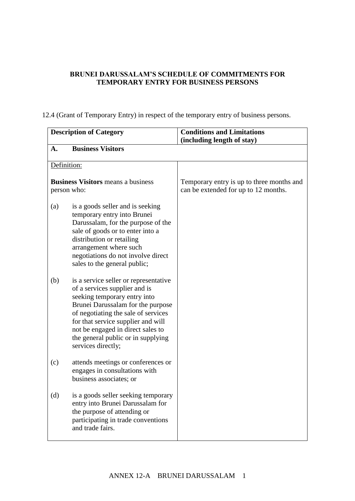## **BRUNEI DARUSSALAM'S SCHEDULE OF COMMITMENTS FOR TEMPORARY ENTRY FOR BUSINESS PERSONS**

12.4 (Grant of Temporary Entry) in respect of the temporary entry of business persons.

| <b>Description of Category</b>                           |                                                                                                                                                                                                                                                                                                                           | <b>Conditions and Limitations</b>                                                 |
|----------------------------------------------------------|---------------------------------------------------------------------------------------------------------------------------------------------------------------------------------------------------------------------------------------------------------------------------------------------------------------------------|-----------------------------------------------------------------------------------|
|                                                          | <b>Business Visitors</b>                                                                                                                                                                                                                                                                                                  | (including length of stay)                                                        |
| A.                                                       |                                                                                                                                                                                                                                                                                                                           |                                                                                   |
| Definition:                                              |                                                                                                                                                                                                                                                                                                                           |                                                                                   |
| <b>Business Visitors</b> means a business<br>person who: |                                                                                                                                                                                                                                                                                                                           | Temporary entry is up to three months and<br>can be extended for up to 12 months. |
| (a)                                                      | is a goods seller and is seeking<br>temporary entry into Brunei<br>Darussalam, for the purpose of the<br>sale of goods or to enter into a<br>distribution or retailing<br>arrangement where such<br>negotiations do not involve direct<br>sales to the general public;                                                    |                                                                                   |
| (b)                                                      | is a service seller or representative<br>of a services supplier and is<br>seeking temporary entry into<br>Brunei Darussalam for the purpose<br>of negotiating the sale of services<br>for that service supplier and will<br>not be engaged in direct sales to<br>the general public or in supplying<br>services directly; |                                                                                   |
| (c)                                                      | attends meetings or conferences or<br>engages in consultations with<br>business associates; or                                                                                                                                                                                                                            |                                                                                   |
| (d)                                                      | is a goods seller seeking temporary<br>entry into Brunei Darussalam for<br>the purpose of attending or<br>participating in trade conventions<br>and trade fairs.                                                                                                                                                          |                                                                                   |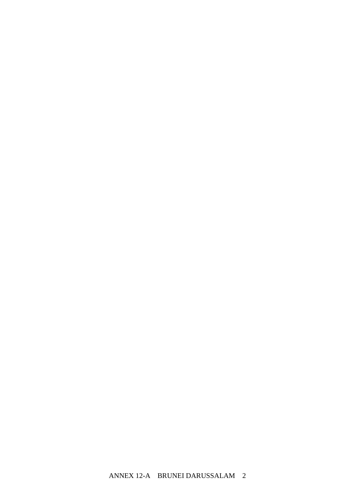ANNEX 12-A BRUNEI DARUSSALAM 2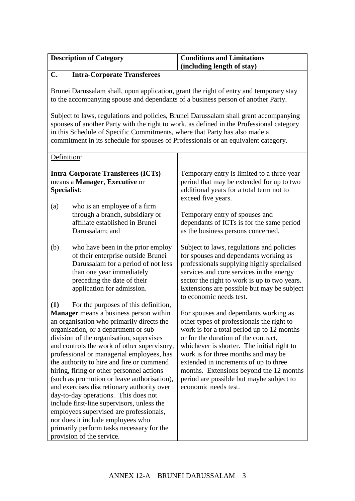| <b>Description of Category</b> | <b>Conditions and Limitations</b> |
|--------------------------------|-----------------------------------|
|                                | $\int$ (including length of stay) |

## **C. Intra-Corporate Transferees**

Brunei Darussalam shall, upon application, grant the right of entry and temporary stay to the accompanying spouse and dependants of a business person of another Party.

Subject to laws, regulations and policies, Brunei Darussalam shall grant accompanying spouses of another Party with the right to work, as defined in the Professional category in this Schedule of Specific Commitments, where that Party has also made a commitment in its schedule for spouses of Professionals or an equivalent category.

| Definition:                                                                                                                                                                                                                                                                                                                                                                                                                                                                                                                                                                                                                                                                                                                                                |                                                                                                                                                                                                                                                                                                                                                                                                                       |
|------------------------------------------------------------------------------------------------------------------------------------------------------------------------------------------------------------------------------------------------------------------------------------------------------------------------------------------------------------------------------------------------------------------------------------------------------------------------------------------------------------------------------------------------------------------------------------------------------------------------------------------------------------------------------------------------------------------------------------------------------------|-----------------------------------------------------------------------------------------------------------------------------------------------------------------------------------------------------------------------------------------------------------------------------------------------------------------------------------------------------------------------------------------------------------------------|
| <b>Intra-Corporate Transferees (ICTs)</b><br>means a Manager, Executive or<br>Specialist:                                                                                                                                                                                                                                                                                                                                                                                                                                                                                                                                                                                                                                                                  | Temporary entry is limited to a three year<br>period that may be extended for up to two<br>additional years for a total term not to<br>exceed five years.                                                                                                                                                                                                                                                             |
| who is an employee of a firm<br>(a)<br>through a branch, subsidiary or<br>affiliate established in Brunei<br>Darussalam; and                                                                                                                                                                                                                                                                                                                                                                                                                                                                                                                                                                                                                               | Temporary entry of spouses and<br>dependants of ICTs is for the same period<br>as the business persons concerned.                                                                                                                                                                                                                                                                                                     |
| who have been in the prior employ<br>(b)<br>of their enterprise outside Brunei<br>Darussalam for a period of not less<br>than one year immediately<br>preceding the date of their<br>application for admission.                                                                                                                                                                                                                                                                                                                                                                                                                                                                                                                                            | Subject to laws, regulations and policies<br>for spouses and dependants working as<br>professionals supplying highly specialised<br>services and core services in the energy<br>sector the right to work is up to two years.<br>Extensions are possible but may be subject<br>to economic needs test.                                                                                                                 |
| (1)<br>For the purposes of this definition,<br>Manager means a business person within<br>an organisation who primarily directs the<br>organisation, or a department or sub-<br>division of the organisation, supervises<br>and controls the work of other supervisory,<br>professional or managerial employees, has<br>the authority to hire and fire or commend<br>hiring, firing or other personnel actions<br>(such as promotion or leave authorisation),<br>and exercises discretionary authority over<br>day-to-day operations. This does not<br>include first-line supervisors, unless the<br>employees supervised are professionals,<br>nor does it include employees who<br>primarily perform tasks necessary for the<br>provision of the service. | For spouses and dependants working as<br>other types of professionals the right to<br>work is for a total period up to 12 months<br>or for the duration of the contract,<br>whichever is shorter. The initial right to<br>work is for three months and may be<br>extended in increments of up to three<br>months. Extensions beyond the 12 months<br>period are possible but maybe subject to<br>economic needs test. |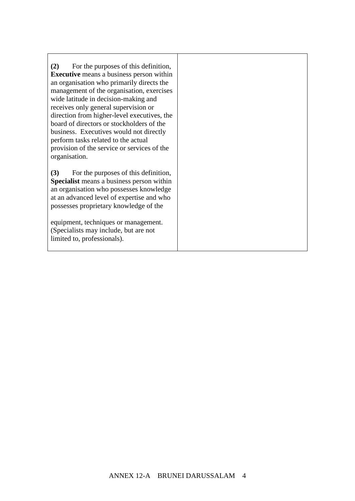**(2)** For the purposes of this definition, **Executive** means a business person within an organisation who primarily directs the management of the organisation, exercises wide latitude in decision-making and receives only general supervision or direction from higher-level executives, the board of directors or stockholders of the business. Executives would not directly perform tasks related to the actual provision of the service or services of the organisation.

**(3)** For the purposes of this definition, **Specialist** means a business person within an organisation who possesses knowledge at an advanced level of expertise and who possesses proprietary knowledge of the

equipment, techniques or management. (Specialists may include, but are not limited to, professionals).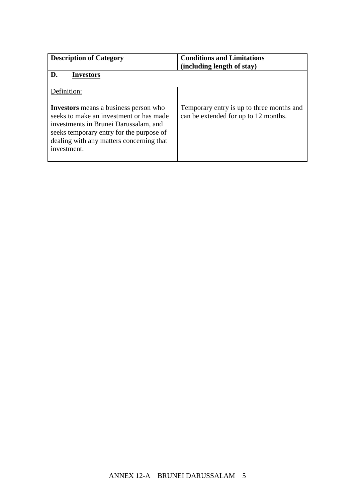| <b>Description of Category</b>                                                                                                                                                                                                          | <b>Conditions and Limitations</b><br>(including length of stay)                   |
|-----------------------------------------------------------------------------------------------------------------------------------------------------------------------------------------------------------------------------------------|-----------------------------------------------------------------------------------|
| D.<br><b>Investors</b>                                                                                                                                                                                                                  |                                                                                   |
| Definition:                                                                                                                                                                                                                             |                                                                                   |
| <b>Investors</b> means a business person who<br>seeks to make an investment or has made<br>investments in Brunei Darussalam, and<br>seeks temporary entry for the purpose of<br>dealing with any matters concerning that<br>investment. | Temporary entry is up to three months and<br>can be extended for up to 12 months. |